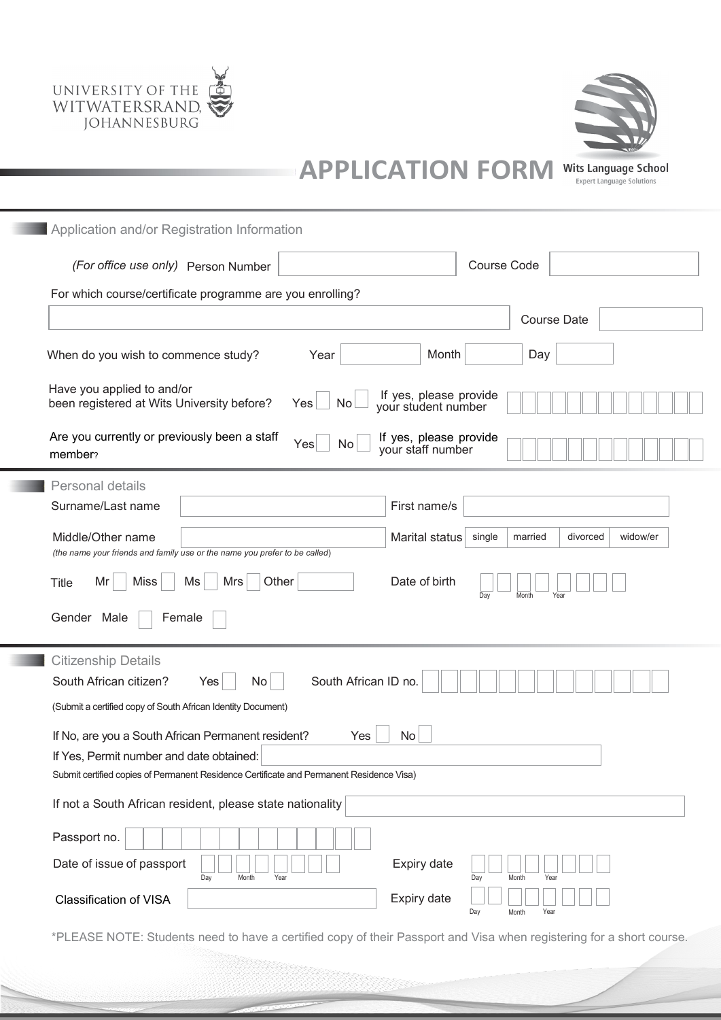



**APPLICATION FORM** Wits Language School

| NIVI | mus canguage senoor              |  |
|------|----------------------------------|--|
|      | <b>Expert Language Solutions</b> |  |
|      |                                  |  |

| Application and/or Registration Information                                                                                                               |                                           |  |  |  |  |  |  |
|-----------------------------------------------------------------------------------------------------------------------------------------------------------|-------------------------------------------|--|--|--|--|--|--|
| (For office use only) Person Number                                                                                                                       | <b>Course Code</b>                        |  |  |  |  |  |  |
| For which course/certificate programme are you enrolling?                                                                                                 |                                           |  |  |  |  |  |  |
|                                                                                                                                                           | <b>Course Date</b>                        |  |  |  |  |  |  |
| Month<br>When do you wish to commence study?<br>Year                                                                                                      | Day                                       |  |  |  |  |  |  |
| Have you applied to and/or<br>If yes, please provide<br>been registered at Wits University before?<br>Yes<br>No<br>your student number                    |                                           |  |  |  |  |  |  |
| Are you currently or previously been a staff<br>If yes, please provide<br>Yes<br>No<br>your staff number<br>member?                                       |                                           |  |  |  |  |  |  |
| Personal details<br>Surname/Last name<br>First name/s                                                                                                     |                                           |  |  |  |  |  |  |
| Middle/Other name<br>Marital status<br>(the name your friends and family use or the name you prefer to be called)                                         | widow/er<br>single<br>married<br>divorced |  |  |  |  |  |  |
| Date of birth<br><b>Miss</b><br>Ms<br>Other<br>Mr<br>Mrs<br><b>Title</b><br>Day<br>Month<br>Year                                                          |                                           |  |  |  |  |  |  |
| Gender Male<br>Female                                                                                                                                     |                                           |  |  |  |  |  |  |
| <b>Citizenship Details</b><br>South African citizen?<br>South African ID no.<br>No<br>Yes<br>(Submit a certified copy of South African Identity Document) |                                           |  |  |  |  |  |  |
| If No, are you a South African Permanent resident?<br>Yes<br>No<br>If Yes, Permit number and date obtained:                                               |                                           |  |  |  |  |  |  |
| Submit certified copies of Permanent Residence Certificate and Permanent Residence Visa)                                                                  |                                           |  |  |  |  |  |  |
| If not a South African resident, please state nationality                                                                                                 |                                           |  |  |  |  |  |  |
| Passport no.                                                                                                                                              |                                           |  |  |  |  |  |  |
| Date of issue of passport<br>Expiry date<br>Day<br>Month<br>Year                                                                                          | Day<br>Month<br>Year                      |  |  |  |  |  |  |
| Expiry date<br><b>Classification of VISA</b>                                                                                                              | Day<br>Year<br>Month                      |  |  |  |  |  |  |

\*PLEASE NOTE: Students need to have a certified copy of their Passport and Visa when registering for a short course.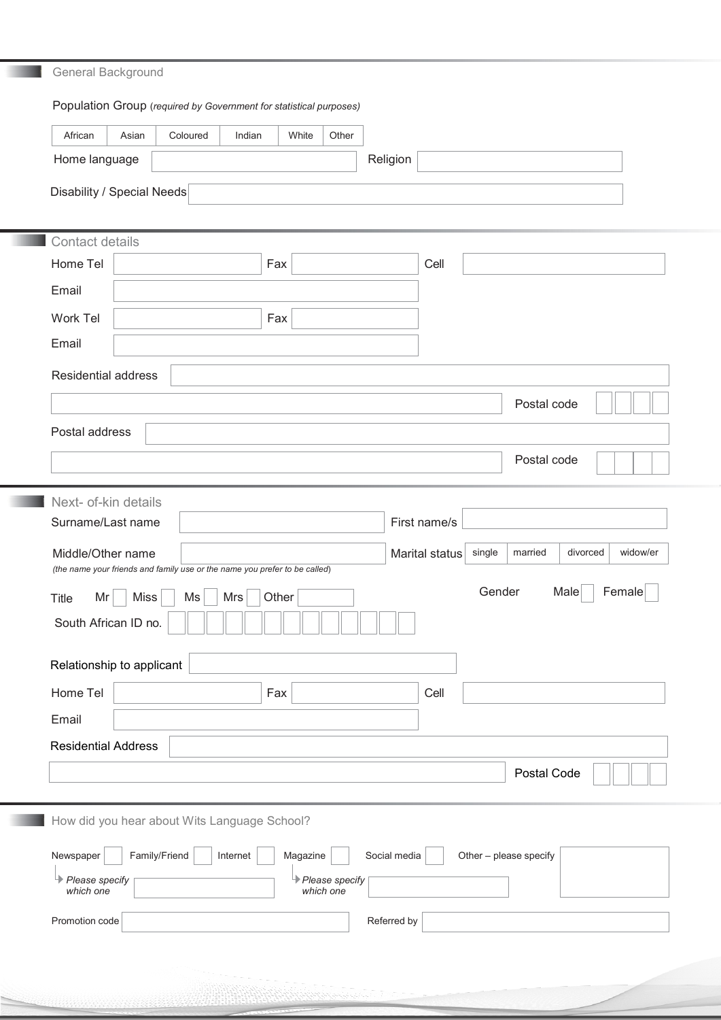# General Background

# Population Group (*required by Government for statistical purposes)*

| Religion<br>Home language<br>Disability / Special Needs<br>Contact details<br>Home Tel<br>Fax<br>Cell<br>Email<br>Work Tel<br>Fax<br>Email                     |  |  |  |  |  |  |  |
|----------------------------------------------------------------------------------------------------------------------------------------------------------------|--|--|--|--|--|--|--|
|                                                                                                                                                                |  |  |  |  |  |  |  |
|                                                                                                                                                                |  |  |  |  |  |  |  |
|                                                                                                                                                                |  |  |  |  |  |  |  |
|                                                                                                                                                                |  |  |  |  |  |  |  |
|                                                                                                                                                                |  |  |  |  |  |  |  |
|                                                                                                                                                                |  |  |  |  |  |  |  |
|                                                                                                                                                                |  |  |  |  |  |  |  |
|                                                                                                                                                                |  |  |  |  |  |  |  |
| <b>Residential address</b>                                                                                                                                     |  |  |  |  |  |  |  |
| Postal code                                                                                                                                                    |  |  |  |  |  |  |  |
| Postal address                                                                                                                                                 |  |  |  |  |  |  |  |
| Postal code                                                                                                                                                    |  |  |  |  |  |  |  |
|                                                                                                                                                                |  |  |  |  |  |  |  |
| Next- of-kin details<br>Surname/Last name<br>First name/s                                                                                                      |  |  |  |  |  |  |  |
|                                                                                                                                                                |  |  |  |  |  |  |  |
| Middle/Other name<br>Marital status<br>single<br>married<br>divorced<br>widow/er<br>(the name your friends and family use or the name you prefer to be called) |  |  |  |  |  |  |  |
| Gender<br>Male<br>Female<br>Miss<br>Mrs<br>Other<br>Mr<br>Ms<br><b>Title</b>                                                                                   |  |  |  |  |  |  |  |
| South African ID no.                                                                                                                                           |  |  |  |  |  |  |  |
| Relationship to applicant                                                                                                                                      |  |  |  |  |  |  |  |
| Home Tel<br>Fax<br>Cell                                                                                                                                        |  |  |  |  |  |  |  |
| Email                                                                                                                                                          |  |  |  |  |  |  |  |
| <b>Residential Address</b>                                                                                                                                     |  |  |  |  |  |  |  |
| Postal Code                                                                                                                                                    |  |  |  |  |  |  |  |
|                                                                                                                                                                |  |  |  |  |  |  |  |
| How did you hear about Wits Language School?                                                                                                                   |  |  |  |  |  |  |  |
| Family/Friend<br>Magazine<br>Newspaper<br>Social media<br>Internet<br>Other - please specify                                                                   |  |  |  |  |  |  |  |
| Please specify<br><b>E</b> Please specify<br>which one<br>which one                                                                                            |  |  |  |  |  |  |  |
| Promotion code<br>Referred by                                                                                                                                  |  |  |  |  |  |  |  |
|                                                                                                                                                                |  |  |  |  |  |  |  |
|                                                                                                                                                                |  |  |  |  |  |  |  |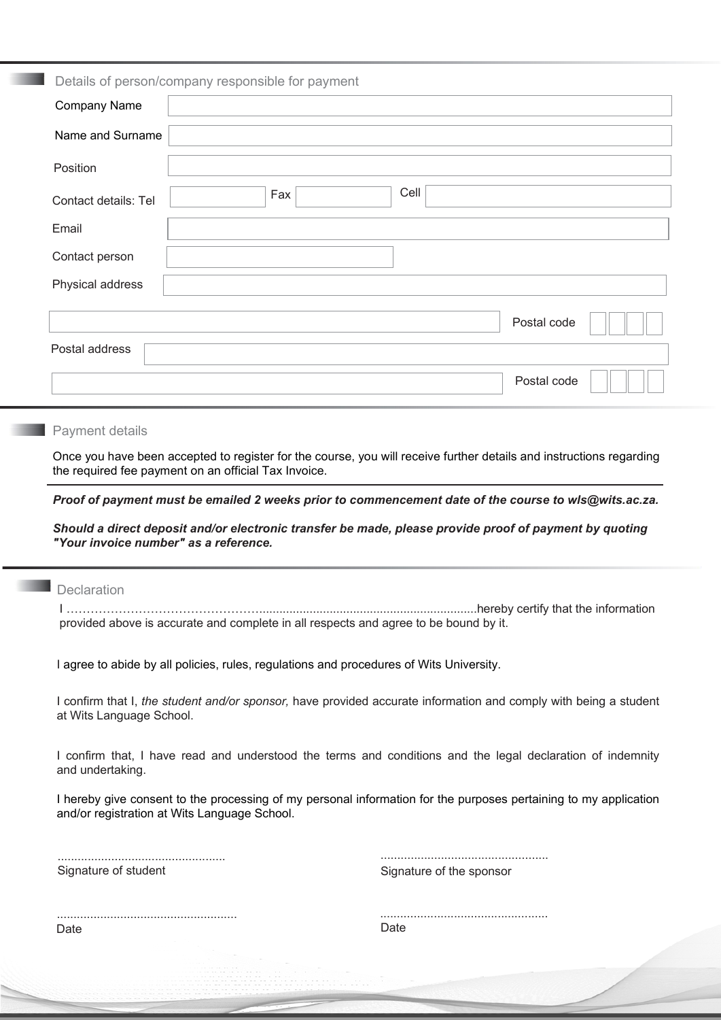| Details of person/company responsible for payment |  |     |      |             |  |  |  |  |
|---------------------------------------------------|--|-----|------|-------------|--|--|--|--|
| Company Name                                      |  |     |      |             |  |  |  |  |
| Name and Surname                                  |  |     |      |             |  |  |  |  |
| Position                                          |  |     |      |             |  |  |  |  |
| Contact details: Tel                              |  | Fax | Cell |             |  |  |  |  |
| Email                                             |  |     |      |             |  |  |  |  |
| Contact person                                    |  |     |      |             |  |  |  |  |
| Physical address                                  |  |     |      |             |  |  |  |  |
|                                                   |  |     |      | Postal code |  |  |  |  |
| Postal address                                    |  |     |      |             |  |  |  |  |
|                                                   |  |     |      | Postal code |  |  |  |  |

# **Payment details**

Once you have been accepted to register for the course, you will receive further details and instructions regarding the required fee payment on an official Tax Invoice.

*Proof of payment must be emailed 2 weeks prior to commencement date of the course to wls@wits.ac.za.*

*Should a direct deposit and/or electronic transfer be made, please provide proof of payment by quoting "Your invoice number" as a reference.*

# **Declaration**

I ………………………………………….................................................................hereby certify that the information provided above is accurate and complete in all respects and agree to be bound by it.

I agree to abide by all policies, rules, regulations and procedures of Wits University.

I confirm that I, *the student and/or sponsor,* have provided accurate information and comply with being a student at Wits Language School.

I confirm that, I have read and understood the terms and conditions and the legal declaration of indemnity and undertaking.

I hereby give consent to the processing of my personal information for the purposes pertaining to my application and/or registration at Wits Language School.

.................................................. Signature of student

.................................................. Signature of the sponsor

Date

.................................................. Date